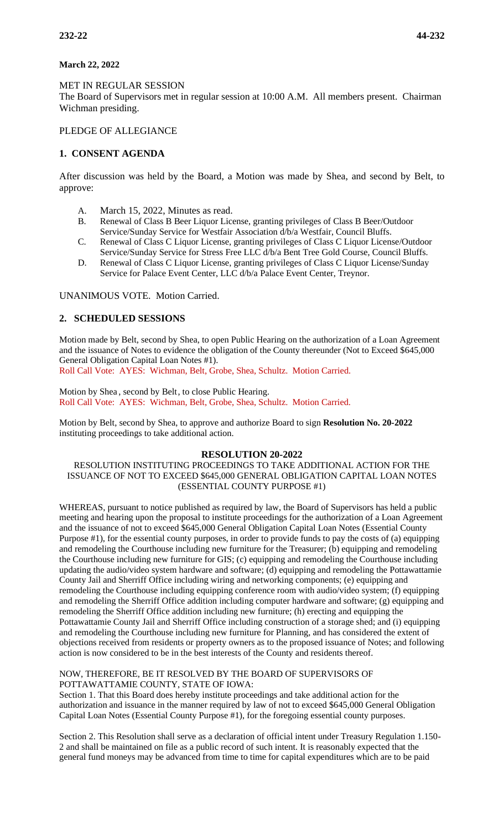# **March 22, 2022**

### MET IN REGULAR SESSION

The Board of Supervisors met in regular session at 10:00 A.M. All members present. Chairman Wichman presiding.

## PLEDGE OF ALLEGIANCE

# **1. CONSENT AGENDA**

After discussion was held by the Board, a Motion was made by Shea, and second by Belt, to approve:

- A. March 15, 2022, Minutes as read.
- B. Renewal of Class B Beer Liquor License, granting privileges of Class B Beer/Outdoor Service/Sunday Service for Westfair Association d/b/a Westfair, Council Bluffs.
- C. Renewal of Class C Liquor License, granting privileges of Class C Liquor License/Outdoor Service/Sunday Service for Stress Free LLC d/b/a Bent Tree Gold Course, Council Bluffs.
- D. Renewal of Class C Liquor License, granting privileges of Class C Liquor License/Sunday Service for Palace Event Center, LLC d/b/a Palace Event Center, Treynor.

UNANIMOUS VOTE. Motion Carried.

# **2. SCHEDULED SESSIONS**

Motion made by Belt, second by Shea, to open Public Hearing on the authorization of a Loan Agreement and the issuance of Notes to evidence the obligation of the County thereunder (Not to Exceed \$645,000 General Obligation Capital Loan Notes #1).

Roll Call Vote: AYES: Wichman, Belt, Grobe, Shea, Schultz. Motion Carried.

Motion by Shea , second by Belt, to close Public Hearing. Roll Call Vote: AYES: Wichman, Belt, Grobe, Shea, Schultz. Motion Carried.

Motion by Belt, second by Shea, to approve and authorize Board to sign **Resolution No. 20-2022** instituting proceedings to take additional action.

#### **RESOLUTION 20-2022**

### RESOLUTION INSTITUTING PROCEEDINGS TO TAKE ADDITIONAL ACTION FOR THE ISSUANCE OF NOT TO EXCEED \$645,000 GENERAL OBLIGATION CAPITAL LOAN NOTES (ESSENTIAL COUNTY PURPOSE #1)

WHEREAS, pursuant to notice published as required by law, the Board of Supervisors has held a public meeting and hearing upon the proposal to institute proceedings for the authorization of a Loan Agreement and the issuance of not to exceed \$645,000 General Obligation Capital Loan Notes (Essential County Purpose #1), for the essential county purposes, in order to provide funds to pay the costs of (a) equipping and remodeling the Courthouse including new furniture for the Treasurer; (b) equipping and remodeling the Courthouse including new furniture for GIS; (c) equipping and remodeling the Courthouse including updating the audio/video system hardware and software; (d) equipping and remodeling the Pottawattamie County Jail and Sherriff Office including wiring and networking components; (e) equipping and remodeling the Courthouse including equipping conference room with audio/video system; (f) equipping and remodeling the Sherriff Office addition including computer hardware and software; (g) equipping and remodeling the Sherriff Office addition including new furniture; (h) erecting and equipping the Pottawattamie County Jail and Sherriff Office including construction of a storage shed; and (i) equipping and remodeling the Courthouse including new furniture for Planning, and has considered the extent of objections received from residents or property owners as to the proposed issuance of Notes; and following action is now considered to be in the best interests of the County and residents thereof.

#### NOW, THEREFORE, BE IT RESOLVED BY THE BOARD OF SUPERVISORS OF POTTAWATTAMIE COUNTY, STATE OF IOWA:

Section 1. That this Board does hereby institute proceedings and take additional action for the authorization and issuance in the manner required by law of not to exceed \$645,000 General Obligation Capital Loan Notes (Essential County Purpose #1), for the foregoing essential county purposes.

Section 2. This Resolution shall serve as a declaration of official intent under Treasury Regulation 1.150- 2 and shall be maintained on file as a public record of such intent. It is reasonably expected that the general fund moneys may be advanced from time to time for capital expenditures which are to be paid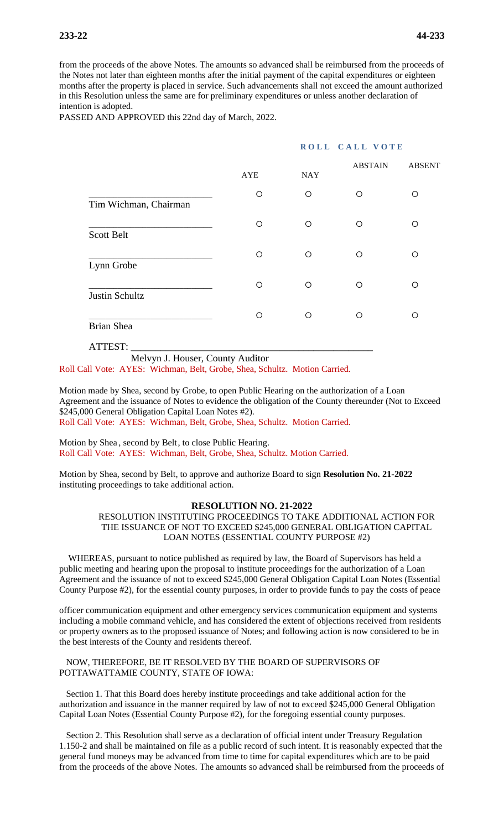from the proceeds of the above Notes. The amounts so advanced shall be reimbursed from the proceeds of the Notes not later than eighteen months after the initial payment of the capital expenditures or eighteen months after the property is placed in service. Such advancements shall not exceed the amount authorized in this Resolution unless the same are for preliminary expenditures or unless another declaration of intention is adopted.

PASSED AND APPROVED this 22nd day of March, 2022.

#### **ROLL CALL VOTE**

|                       | AYE | <b>NAY</b> | <b>ABSTAIN</b> | <b>ABSENT</b> |
|-----------------------|-----|------------|----------------|---------------|
| Tim Wichman, Chairman | O   | $\circ$    | Ω              | O             |
| <b>Scott Belt</b>     | O   | O          | O              | ∩             |
| Lynn Grobe            | Ο   | $\circ$    | ∩              | ∩             |
| Justin Schultz        | O   | $\circ$    | ∩              | Ω             |
| <b>Brian Shea</b>     | ∩   | $\circ$    | ∩              | ∩             |

ATTEST: \_\_\_\_\_\_\_\_\_\_\_\_\_\_\_\_\_\_\_\_\_\_\_\_\_\_\_\_\_\_\_\_\_\_\_\_\_\_\_\_\_\_\_\_\_\_\_\_\_

Melvyn J. Houser, County Auditor

Roll Call Vote: AYES: Wichman, Belt, Grobe, Shea, Schultz. Motion Carried.

Motion made by Shea, second by Grobe, to open Public Hearing on the authorization of a Loan Agreement and the issuance of Notes to evidence the obligation of the County thereunder (Not to Exceed \$245,000 General Obligation Capital Loan Notes #2). Roll Call Vote: AYES: Wichman, Belt, Grobe, Shea, Schultz. Motion Carried.

Motion by Shea , second by Belt, to close Public Hearing. Roll Call Vote: AYES: Wichman, Belt, Grobe, Shea, Schultz. Motion Carried.

Motion by Shea, second by Belt, to approve and authorize Board to sign **Resolution No. 21-2022** instituting proceedings to take additional action.

#### **RESOLUTION NO. 21-2022**

RESOLUTION INSTITUTING PROCEEDINGS TO TAKE ADDITIONAL ACTION FOR THE ISSUANCE OF NOT TO EXCEED \$245,000 GENERAL OBLIGATION CAPITAL LOAN NOTES (ESSENTIAL COUNTY PURPOSE #2)

 WHEREAS, pursuant to notice published as required by law, the Board of Supervisors has held a public meeting and hearing upon the proposal to institute proceedings for the authorization of a Loan Agreement and the issuance of not to exceed \$245,000 General Obligation Capital Loan Notes (Essential County Purpose #2), for the essential county purposes, in order to provide funds to pay the costs of peace

officer communication equipment and other emergency services communication equipment and systems including a mobile command vehicle, and has considered the extent of objections received from residents or property owners as to the proposed issuance of Notes; and following action is now considered to be in the best interests of the County and residents thereof.

#### NOW, THEREFORE, BE IT RESOLVED BY THE BOARD OF SUPERVISORS OF POTTAWATTAMIE COUNTY, STATE OF IOWA:

 Section 1. That this Board does hereby institute proceedings and take additional action for the authorization and issuance in the manner required by law of not to exceed \$245,000 General Obligation Capital Loan Notes (Essential County Purpose #2), for the foregoing essential county purposes.

 Section 2. This Resolution shall serve as a declaration of official intent under Treasury Regulation 1.150-2 and shall be maintained on file as a public record of such intent. It is reasonably expected that the general fund moneys may be advanced from time to time for capital expenditures which are to be paid from the proceeds of the above Notes. The amounts so advanced shall be reimbursed from the proceeds of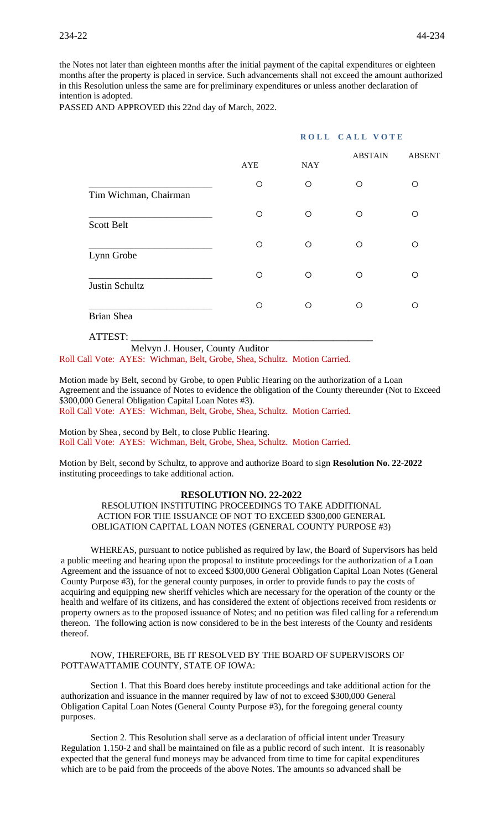the Notes not later than eighteen months after the initial payment of the capital expenditures or eighteen months after the property is placed in service. Such advancements shall not exceed the amount authorized in this Resolution unless the same are for preliminary expenditures or unless another declaration of intention is adopted.

PASSED AND APPROVED this 22nd day of March, 2022.

|                       |            | ROLL CALL VOTE |                |               |
|-----------------------|------------|----------------|----------------|---------------|
|                       | <b>AYE</b> | <b>NAY</b>     | <b>ABSTAIN</b> | <b>ABSENT</b> |
| Tim Wichman, Chairman | $\circ$    | $\circ$        | O              | O             |
| Scott Belt            | $\circ$    | $\circ$        | O              | O             |
| Lynn Grobe            | O          | $\circ$        | O              | O             |
| Justin Schultz        | $\circ$    | ◯              | O              | O             |
| <b>Brian Shea</b>     | O          | $\circ$        | O              | O             |
| ATTEST:               |            |                |                |               |

 Melvyn J. Houser, County Auditor Roll Call Vote: AYES: Wichman, Belt, Grobe, Shea, Schultz. Motion Carried.

Motion made by Belt, second by Grobe, to open Public Hearing on the authorization of a Loan Agreement and the issuance of Notes to evidence the obligation of the County thereunder (Not to Exceed \$300,000 General Obligation Capital Loan Notes #3). Roll Call Vote: AYES: Wichman, Belt, Grobe, Shea, Schultz. Motion Carried.

Motion by Shea , second by Belt, to close Public Hearing. Roll Call Vote: AYES: Wichman, Belt, Grobe, Shea, Schultz. Motion Carried.

Motion by Belt, second by Schultz, to approve and authorize Board to sign **Resolution No. 22-2022**  instituting proceedings to take additional action.

#### **RESOLUTION NO. 22-2022**

RESOLUTION INSTITUTING PROCEEDINGS TO TAKE ADDITIONAL ACTION FOR THE ISSUANCE OF NOT TO EXCEED \$300,000 GENERAL OBLIGATION CAPITAL LOAN NOTES (GENERAL COUNTY PURPOSE #3)

WHEREAS, pursuant to notice published as required by law, the Board of Supervisors has held a public meeting and hearing upon the proposal to institute proceedings for the authorization of a Loan Agreement and the issuance of not to exceed \$300,000 General Obligation Capital Loan Notes (General County Purpose #3), for the general county purposes, in order to provide funds to pay the costs of acquiring and equipping new sheriff vehicles which are necessary for the operation of the county or the health and welfare of its citizens, and has considered the extent of objections received from residents or property owners as to the proposed issuance of Notes; and no petition was filed calling for a referendum thereon. The following action is now considered to be in the best interests of the County and residents thereof.

NOW, THEREFORE, BE IT RESOLVED BY THE BOARD OF SUPERVISORS OF POTTAWATTAMIE COUNTY, STATE OF IOWA:

Section 1. That this Board does hereby institute proceedings and take additional action for the authorization and issuance in the manner required by law of not to exceed \$300,000 General Obligation Capital Loan Notes (General County Purpose #3), for the foregoing general county purposes.

Section 2. This Resolution shall serve as a declaration of official intent under Treasury Regulation 1.150-2 and shall be maintained on file as a public record of such intent. It is reasonably expected that the general fund moneys may be advanced from time to time for capital expenditures which are to be paid from the proceeds of the above Notes. The amounts so advanced shall be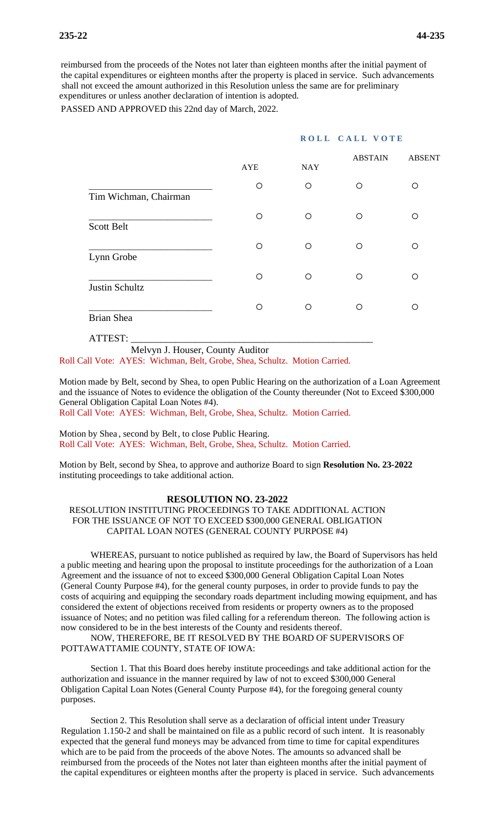reimbursed from the proceeds of the Notes not later than eighteen months after the initial payment of the capital expenditures or eighteen months after the property is placed in service. Such advancements shall not exceed the amount authorized in this Resolution unless the same are for preliminary expenditures or unless another declaration of intention is adopted.

PASSED AND APPROVED this 22nd day of March, 2022.

#### **ROLL CALL VOTE**

|                       | <b>AYE</b> | <b>NAY</b> | <b>ABSTAIN</b> | <b>ABSENT</b> |
|-----------------------|------------|------------|----------------|---------------|
| Tim Wichman, Chairman | O          | $\bigcirc$ | $\circ$        | O             |
| <b>Scott Belt</b>     | O          | O          | Ω              | Ω             |
| Lynn Grobe            | O          | O          | Ω              | ∩             |
| Justin Schultz        | O          | $\circ$    | Ω              | ∩             |
| <b>Brian Shea</b>     | O          | O          | ∩              | ∩             |

ATTEST: \_\_\_\_\_\_\_\_\_\_\_\_\_\_\_\_\_\_\_\_\_\_\_\_\_\_\_\_\_\_\_\_\_\_\_\_\_\_\_\_\_\_\_\_\_\_\_\_\_

Melvyn J. Houser, County Auditor

Roll Call Vote: AYES: Wichman, Belt, Grobe, Shea, Schultz. Motion Carried.

Motion made by Belt, second by Shea, to open Public Hearing on the authorization of a Loan Agreement and the issuance of Notes to evidence the obligation of the County thereunder (Not to Exceed \$300,000 General Obligation Capital Loan Notes #4).

Roll Call Vote: AYES: Wichman, Belt, Grobe, Shea, Schultz. Motion Carried.

Motion by Shea , second by Belt, to close Public Hearing. Roll Call Vote: AYES: Wichman, Belt, Grobe, Shea, Schultz. Motion Carried.

Motion by Belt, second by Shea, to approve and authorize Board to sign **Resolution No. 23-2022** instituting proceedings to take additional action.

#### **RESOLUTION NO. 23-2022**

RESOLUTION INSTITUTING PROCEEDINGS TO TAKE ADDITIONAL ACTION FOR THE ISSUANCE OF NOT TO EXCEED \$300,000 GENERAL OBLIGATION CAPITAL LOAN NOTES (GENERAL COUNTY PURPOSE #4)

WHEREAS, pursuant to notice published as required by law, the Board of Supervisors has held a public meeting and hearing upon the proposal to institute proceedings for the authorization of a Loan Agreement and the issuance of not to exceed \$300,000 General Obligation Capital Loan Notes (General County Purpose #4), for the general county purposes, in order to provide funds to pay the costs of acquiring and equipping the secondary roads department including mowing equipment, and has considered the extent of objections received from residents or property owners as to the proposed issuance of Notes; and no petition was filed calling for a referendum thereon. The following action is now considered to be in the best interests of the County and residents thereof.

NOW, THEREFORE, BE IT RESOLVED BY THE BOARD OF SUPERVISORS OF POTTAWATTAMIE COUNTY, STATE OF IOWA:

Section 1. That this Board does hereby institute proceedings and take additional action for the authorization and issuance in the manner required by law of not to exceed \$300,000 General Obligation Capital Loan Notes (General County Purpose #4), for the foregoing general county purposes.

Section 2. This Resolution shall serve as a declaration of official intent under Treasury Regulation 1.150-2 and shall be maintained on file as a public record of such intent. It is reasonably expected that the general fund moneys may be advanced from time to time for capital expenditures which are to be paid from the proceeds of the above Notes. The amounts so advanced shall be reimbursed from the proceeds of the Notes not later than eighteen months after the initial payment of the capital expenditures or eighteen months after the property is placed in service. Such advancements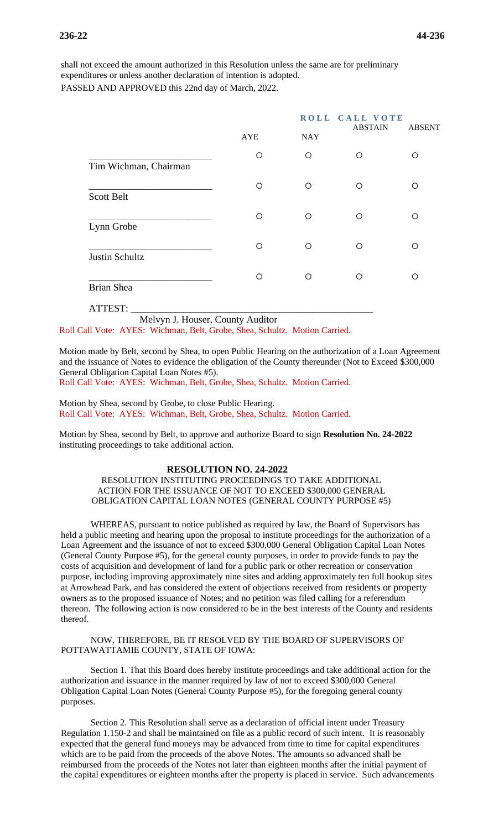shall not exceed the amount authorized in this Resolution unless the same are for preliminary expenditures or unless another declaration of intention is adopted. PASSED AND APPROVED this 22nd day of March, 2022.

|                       |            |            | ROLL CALL VOTE<br><b>ABSTAIN</b> | <b>ABSENT</b> |
|-----------------------|------------|------------|----------------------------------|---------------|
|                       | <b>AYE</b> | <b>NAY</b> |                                  |               |
| Tim Wichman, Chairman | O          | $\circ$    | O                                | O             |
| <b>Scott Belt</b>     | O          | $\circ$    | O                                | ∩             |
| Lynn Grobe            | O          | O          | ∩                                | ∩             |
| Justin Schultz        | O          | $\circ$    | ∩                                | $\circ$       |
| <b>Brian Shea</b>     | O          | $\circ$    | ∩                                | O             |
| ATTEST:               |            |            |                                  |               |

Melvyn J. Houser, County Auditor Roll Call Vote: AYES: Wichman, Belt, Grobe, Shea, Schultz. Motion Carried.

Motion made by Belt, second by Shea, to open Public Hearing on the authorization of a Loan Agreement and the issuance of Notes to evidence the obligation of the County thereunder (Not to Exceed \$300,000 General Obligation Capital Loan Notes #5). Roll Call Vote: AYES: Wichman, Belt, Grobe, Shea, Schultz. Motion Carried.

Motion by Shea, second by Grobe, to close Public Hearing. Roll Call Vote: AYES: Wichman, Belt, Grobe, Shea, Schultz. Motion Carried.

Motion by Shea, second by Belt, to approve and authorize Board to sign **Resolution No. 24-2022** instituting proceedings to take additional action.

#### **RESOLUTION NO. 24-2022**

RESOLUTION INSTITUTING PROCEEDINGS TO TAKE ADDITIONAL ACTION FOR THE ISSUANCE OF NOT TO EXCEED \$300,000 GENERAL OBLIGATION CAPITAL LOAN NOTES (GENERAL COUNTY PURPOSE #5)

WHEREAS, pursuant to notice published as required by law, the Board of Supervisors has held a public meeting and hearing upon the proposal to institute proceedings for the authorization of a Loan Agreement and the issuance of not to exceed \$300,000 General Obligation Capital Loan Notes (General County Purpose #5), for the general county purposes, in order to provide funds to pay the costs of acquisition and development of land for a public park or other recreation or conservation purpose, including improving approximately nine sites and adding approximately ten full hookup sites at Arrowhead Park, and has considered the extent of objections received from residents or property owners as to the proposed issuance of Notes; and no petition was filed calling for a referendum thereon. The following action is now considered to be in the best interests of the County and residents thereof.

#### NOW, THEREFORE, BE IT RESOLVED BY THE BOARD OF SUPERVISORS OF POTTAWATTAMIE COUNTY, STATE OF IOWA:

Section 1. That this Board does hereby institute proceedings and take additional action for the authorization and issuance in the manner required by law of not to exceed \$300,000 General Obligation Capital Loan Notes (General County Purpose #5), for the foregoing general county purposes.

Section 2. This Resolution shall serve as a declaration of official intent under Treasury Regulation 1.150-2 and shall be maintained on file as a public record of such intent. It is reasonably expected that the general fund moneys may be advanced from time to time for capital expenditures which are to be paid from the proceeds of the above Notes. The amounts so advanced shall be reimbursed from the proceeds of the Notes not later than eighteen months after the initial payment of the capital expenditures or eighteen months after the property is placed in service. Such advancements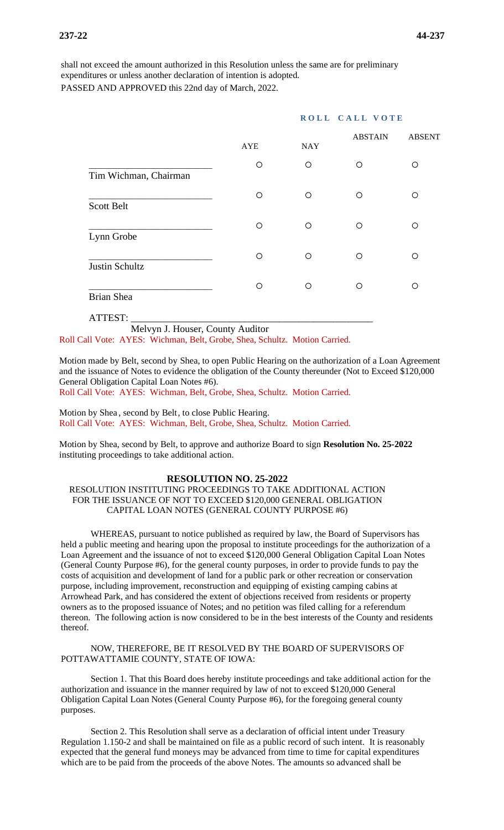shall not exceed the amount authorized in this Resolution unless the same are for preliminary expenditures or unless another declaration of intention is adopted. PASSED AND APPROVED this 22nd day of March, 2022.

|                       |            | ROLL CALL VOTE |                |               |
|-----------------------|------------|----------------|----------------|---------------|
|                       | <b>AYE</b> | <b>NAY</b>     | <b>ABSTAIN</b> | <b>ABSENT</b> |
| Tim Wichman, Chairman | O          | $\circ$        | O              | ◯             |
| <b>Scott Belt</b>     | O          | $\circ$        | Ω              | Ω             |
| Lynn Grobe            | $\circ$    | $\circ$        | O              | O             |
| Justin Schultz        | $\circ$    | O              | O              | O             |
| <b>Brian Shea</b>     | O          | $\circ$        | Ω              | ∩             |
|                       |            |                |                |               |

ATTEST: \_\_\_\_\_\_\_\_\_\_\_\_\_\_\_\_\_\_\_\_\_\_\_\_\_\_\_\_\_\_\_\_\_\_\_\_\_\_\_\_\_\_\_\_\_\_\_\_\_

Melvyn J. Houser, County Auditor

Roll Call Vote: AYES: Wichman, Belt, Grobe, Shea, Schultz. Motion Carried.

Motion made by Belt, second by Shea, to open Public Hearing on the authorization of a Loan Agreement and the issuance of Notes to evidence the obligation of the County thereunder (Not to Exceed \$120,000 General Obligation Capital Loan Notes #6).

Roll Call Vote: AYES: Wichman, Belt, Grobe, Shea, Schultz. Motion Carried.

Motion by Shea , second by Belt, to close Public Hearing. Roll Call Vote: AYES: Wichman, Belt, Grobe, Shea, Schultz. Motion Carried.

Motion by Shea, second by Belt, to approve and authorize Board to sign **Resolution No. 25-2022** instituting proceedings to take additional action.

#### **RESOLUTION NO. 25-2022**

#### RESOLUTION INSTITUTING PROCEEDINGS TO TAKE ADDITIONAL ACTION FOR THE ISSUANCE OF NOT TO EXCEED \$120,000 GENERAL OBLIGATION CAPITAL LOAN NOTES (GENERAL COUNTY PURPOSE #6)

WHEREAS, pursuant to notice published as required by law, the Board of Supervisors has held a public meeting and hearing upon the proposal to institute proceedings for the authorization of a Loan Agreement and the issuance of not to exceed \$120,000 General Obligation Capital Loan Notes (General County Purpose #6), for the general county purposes, in order to provide funds to pay the costs of acquisition and development of land for a public park or other recreation or conservation purpose, including improvement, reconstruction and equipping of existing camping cabins at Arrowhead Park, and has considered the extent of objections received from residents or property owners as to the proposed issuance of Notes; and no petition was filed calling for a referendum thereon. The following action is now considered to be in the best interests of the County and residents thereof.

#### NOW, THEREFORE, BE IT RESOLVED BY THE BOARD OF SUPERVISORS OF POTTAWATTAMIE COUNTY, STATE OF IOWA:

Section 1. That this Board does hereby institute proceedings and take additional action for the authorization and issuance in the manner required by law of not to exceed \$120,000 General Obligation Capital Loan Notes (General County Purpose #6), for the foregoing general county purposes.

Section 2. This Resolution shall serve as a declaration of official intent under Treasury Regulation 1.150-2 and shall be maintained on file as a public record of such intent. It is reasonably expected that the general fund moneys may be advanced from time to time for capital expenditures which are to be paid from the proceeds of the above Notes. The amounts so advanced shall be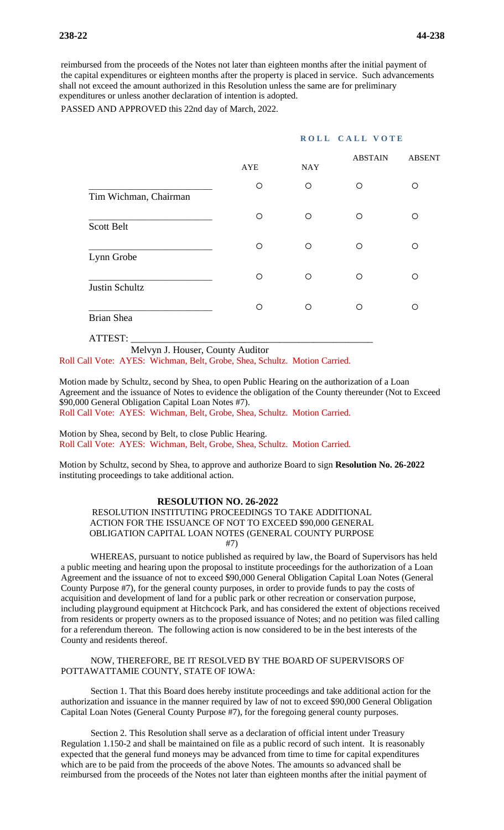reimbursed from the proceeds of the Notes not later than eighteen months after the initial payment of the capital expenditures or eighteen months after the property is placed in service. Such advancements shall not exceed the amount authorized in this Resolution unless the same are for preliminary expenditures or unless another declaration of intention is adopted.

PASSED AND APPROVED this 22nd day of March, 2022.

#### **ROLL CALL VOTE**

|                       | <b>AYE</b> | <b>NAY</b> | <b>ABSTAIN</b> | <b>ABSENT</b> |
|-----------------------|------------|------------|----------------|---------------|
| Tim Wichman, Chairman | O          | $\circ$    | Ω              | O             |
| <b>Scott Belt</b>     | ∩          | $\circ$    | ∩              | ∩             |
| Lynn Grobe            | O          | $\circ$    | ∩              | ∩             |
| Justin Schultz        | O          | O          | O              | O             |
| Brian Shea            | Ω          | $\circ$    | ∩              | ∩             |

ATTEST: \_\_\_\_\_\_\_\_\_\_\_\_\_\_\_\_\_\_\_\_\_\_\_\_\_\_\_\_\_\_\_\_\_\_\_\_\_\_\_\_\_\_\_\_\_\_\_\_\_

Melvyn J. Houser, County Auditor

Roll Call Vote: AYES: Wichman, Belt, Grobe, Shea, Schultz. Motion Carried.

Motion made by Schultz, second by Shea, to open Public Hearing on the authorization of a Loan Agreement and the issuance of Notes to evidence the obligation of the County thereunder (Not to Exceed \$90,000 General Obligation Capital Loan Notes #7). Roll Call Vote: AYES: Wichman, Belt, Grobe, Shea, Schultz. Motion Carried.

Motion by Shea, second by Belt, to close Public Hearing. Roll Call Vote: AYES: Wichman, Belt, Grobe, Shea, Schultz. Motion Carried.

Motion by Schultz, second by Shea, to approve and authorize Board to sign **Resolution No. 26-2022**  instituting proceedings to take additional action.

#### **RESOLUTION NO. 26-2022**

RESOLUTION INSTITUTING PROCEEDINGS TO TAKE ADDITIONAL ACTION FOR THE ISSUANCE OF NOT TO EXCEED \$90,000 GENERAL OBLIGATION CAPITAL LOAN NOTES (GENERAL COUNTY PURPOSE #7)

WHEREAS, pursuant to notice published as required by law, the Board of Supervisors has held a public meeting and hearing upon the proposal to institute proceedings for the authorization of a Loan Agreement and the issuance of not to exceed \$90,000 General Obligation Capital Loan Notes (General County Purpose #7), for the general county purposes, in order to provide funds to pay the costs of acquisition and development of land for a public park or other recreation or conservation purpose, including playground equipment at Hitchcock Park, and has considered the extent of objections received from residents or property owners as to the proposed issuance of Notes; and no petition was filed calling for a referendum thereon. The following action is now considered to be in the best interests of the County and residents thereof.

NOW, THEREFORE, BE IT RESOLVED BY THE BOARD OF SUPERVISORS OF POTTAWATTAMIE COUNTY, STATE OF IOWA:

Section 1. That this Board does hereby institute proceedings and take additional action for the authorization and issuance in the manner required by law of not to exceed \$90,000 General Obligation Capital Loan Notes (General County Purpose #7), for the foregoing general county purposes.

Section 2. This Resolution shall serve as a declaration of official intent under Treasury Regulation 1.150-2 and shall be maintained on file as a public record of such intent. It is reasonably expected that the general fund moneys may be advanced from time to time for capital expenditures which are to be paid from the proceeds of the above Notes. The amounts so advanced shall be reimbursed from the proceeds of the Notes not later than eighteen months after the initial payment of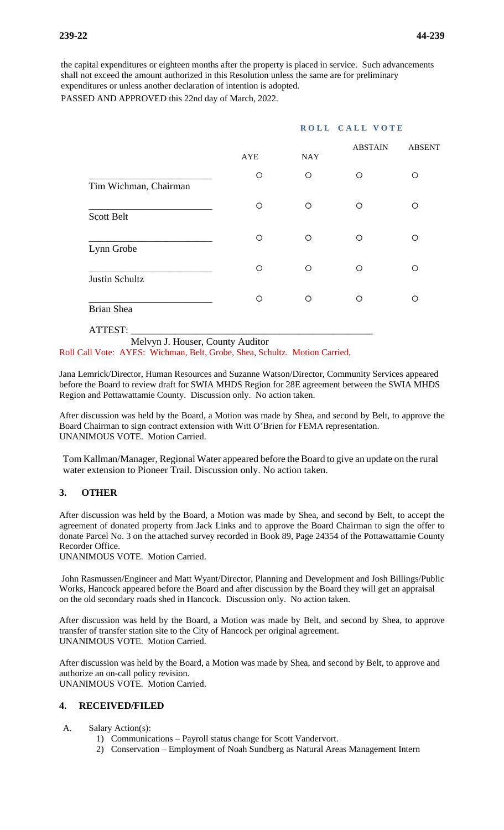the capital expenditures or eighteen months after the property is placed in service. Such advancements shall not exceed the amount authorized in this Resolution unless the same are for preliminary expenditures or unless another declaration of intention is adopted.

PASSED AND APPROVED this 22nd day of March, 2022.

| ROLL CALL VOTE |            |                |               |
|----------------|------------|----------------|---------------|
| AYE            | <b>NAY</b> | <b>ABSTAIN</b> | <b>ABSENT</b> |
| O              | $\circ$    | Ω              | O             |
| O              | O          | O              | O             |
| O              | O          | O              | O             |
| O              | $\circ$    | $\bigcirc$     | ∩             |
| O              | $\circ$    | ∩              | ◯             |
|                |            |                |               |

 Melvyn J. Houser, County Auditor Roll Call Vote: AYES: Wichman, Belt, Grobe, Shea, Schultz. Motion Carried.

Jana Lemrick/Director, Human Resources and Suzanne Watson/Director, Community Services appeared before the Board to review draft for SWIA MHDS Region for 28E agreement between the SWIA MHDS Region and Pottawattamie County. Discussion only. No action taken.

After discussion was held by the Board, a Motion was made by Shea, and second by Belt, to approve the Board Chairman to sign contract extension with Witt O'Brien for FEMA representation. UNANIMOUS VOTE. Motion Carried.

Tom Kallman/Manager, Regional Water appeared before the Board to give an update on the rural water extension to Pioneer Trail. Discussion only. No action taken.

# **3. OTHER**

ATTEST: \_\_\_\_\_\_\_\_\_\_\_\_\_\_\_\_\_\_\_\_\_\_\_\_\_\_\_\_\_\_\_\_\_\_\_\_\_\_\_\_\_\_\_\_\_\_\_\_\_

After discussion was held by the Board, a Motion was made by Shea, and second by Belt, to accept the agreement of donated property from Jack Links and to approve the Board Chairman to sign the offer to donate Parcel No. 3 on the attached survey recorded in Book 89, Page 24354 of the Pottawattamie County Recorder Office.

UNANIMOUS VOTE. Motion Carried.

John Rasmussen/Engineer and Matt Wyant/Director, Planning and Development and Josh Billings/Public Works, Hancock appeared before the Board and after discussion by the Board they will get an appraisal on the old secondary roads shed in Hancock. Discussion only. No action taken.

After discussion was held by the Board, a Motion was made by Belt, and second by Shea, to approve transfer of transfer station site to the City of Hancock per original agreement. UNANIMOUS VOTE. Motion Carried.

After discussion was held by the Board, a Motion was made by Shea, and second by Belt, to approve and authorize an on-call policy revision. UNANIMOUS VOTE. Motion Carried.

# **4. RECEIVED/FILED**

- A. Salary Action(s):
	- 1) Communications Payroll status change for Scott Vandervort.
	- 2) Conservation Employment of Noah Sundberg as Natural Areas Management Intern

# **ROLL CALL VOTE**